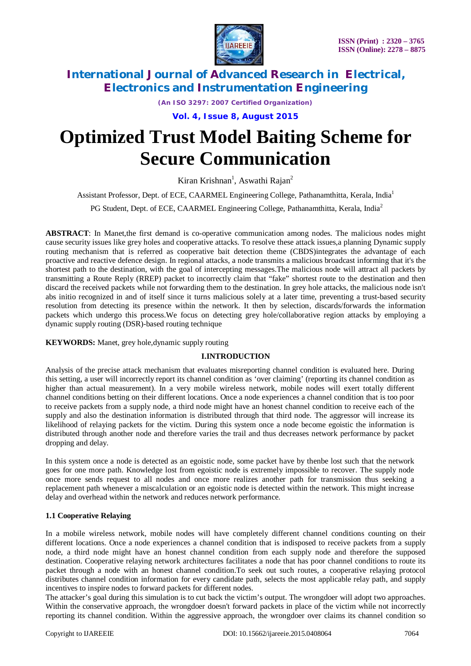

*(An ISO 3297: 2007 Certified Organization)*

**Vol. 4, Issue 8, August 2015**

# **Optimized Trust Model Baiting Scheme for Secure Communication**

Kiran Krishnan<sup>1</sup>, Aswathi Rajan<sup>2</sup>

Assistant Professor, Dept. of ECE, CAARMEL Engineering College, Pathanamthitta, Kerala, India<sup>1</sup> PG Student, Dept. of ECE, CAARMEL Engineering College, Pathanamthitta, Kerala, India<sup>2</sup>

**ABSTRACT**: In Manet,the first demand is co-operative communication among nodes. The malicious nodes might cause security issues like grey holes and cooperative attacks. To resolve these attack issues,a planning Dynamic supply routing mechanism that is referred as cooperative bait detection theme (CBDS)integrates the advantage of each proactive and reactive defence design. In regional attacks, a node transmits a malicious broadcast informing that it's the shortest path to the destination, with the goal of intercepting messages.The malicious node will attract all packets by transmitting a Route Reply (RREP) packet to incorrectly claim that "fake" shortest route to the destination and then discard the received packets while not forwarding them to the destination. In grey hole attacks, the malicious node isn't abs initio recognized in and of itself since it turns malicious solely at a later time, preventing a trust-based security resolution from detecting its presence within the network. It then by selection, discards/forwards the information packets which undergo this process.We focus on detecting grey hole/collaborative region attacks by employing a

### **KEYWORDS:** Manet, grey hole,dynamic supply routing

dynamic supply routing (DSR)-based routing technique

### **I.INTRODUCTION**

Analysis of the precise attack mechanism that evaluates misreporting channel condition is evaluated here. During this setting, a user will incorrectly report its channel condition as 'over claiming' (reporting its channel condition as higher than actual measurement). In a very mobile wireless network, mobile nodes will exert totally different channel conditions betting on their different locations. Once a node experiences a channel condition that is too poor to receive packets from a supply node, a third node might have an honest channel condition to receive each of the supply and also the destination information is distributed through that third node. The aggressor will increase its likelihood of relaying packets for the victim. During this system once a node become egoistic the information is distributed through another node and therefore varies the trail and thus decreases network performance by packet dropping and delay.

In this system once a node is detected as an egoistic node, some packet have by thenbe lost such that the network goes for one more path. Knowledge lost from egoistic node is extremely impossible to recover. The supply node once more sends request to all nodes and once more realizes another path for transmission thus seeking a replacement path whenever a miscalculation or an egoistic node is detected within the network. This might increase delay and overhead within the network and reduces network performance.

# **1.1 Cooperative Relaying**

In a mobile wireless network, mobile nodes will have completely different channel conditions counting on their different locations. Once a node experiences a channel condition that is indisposed to receive packets from a supply node, a third node might have an honest channel condition from each supply node and therefore the supposed destination. Cooperative relaying network architectures facilitates a node that has poor channel conditions to route its packet through a node with an honest channel condition.To seek out such routes, a cooperative relaying protocol distributes channel condition information for every candidate path, selects the most applicable relay path, and supply incentives to inspire nodes to forward packets for different nodes.

The attacker's goal during this simulation is to cut back the victim's output. The wrongdoer will adopt two approaches. Within the conservative approach, the wrongdoer doesn't forward packets in place of the victim while not incorrectly reporting its channel condition. Within the aggressive approach, the wrongdoer over claims its channel condition so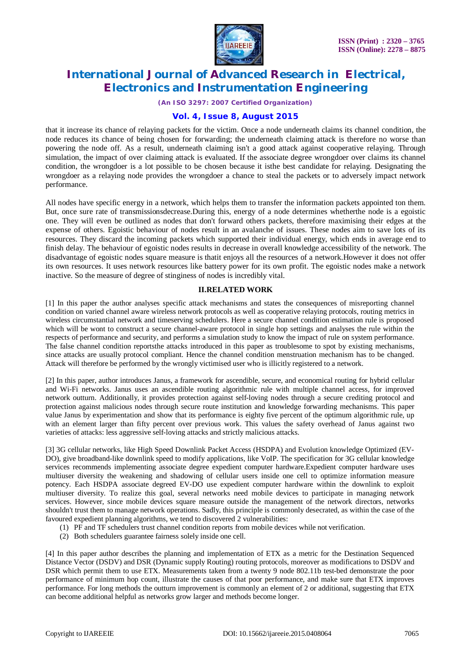

*(An ISO 3297: 2007 Certified Organization)*

### **Vol. 4, Issue 8, August 2015**

that it increase its chance of relaying packets for the victim. Once a node underneath claims its channel condition, the node reduces its chance of being chosen for forwarding; the underneath claiming attack is therefore no worse than powering the node off. As a result, underneath claiming isn't a good attack against cooperative relaying. Through simulation, the impact of over claiming attack is evaluated. If the associate degree wrongdoer over claims its channel condition, the wrongdoer is a lot possible to be chosen because it isthe best candidate for relaying. Designating the wrongdoer as a relaying node provides the wrongdoer a chance to steal the packets or to adversely impact network performance.

All nodes have specific energy in a network, which helps them to transfer the information packets appointed ton them. But, once sure rate of transmissionsdecrease.During this, energy of a node determines whetherthe node is a egoistic one. They will even be outlined as nodes that don't forward others packets, therefore maximising their edges at the expense of others. Egoistic behaviour of nodes result in an avalanche of issues. These nodes aim to save lots of its resources. They discard the incoming packets which supported their individual energy, which ends in average end to finish delay. The behaviour of egoistic nodes results in decrease in overall knowledge accessibility of the network. The disadvantage of egoistic nodes square measure is thatit enjoys all the resources of a network.However it does not offer its own resources. It uses network resources like battery power for its own profit. The egoistic nodes make a network inactive. So the measure of degree of stinginess of nodes is incredibly vital.

#### **II.RELATED WORK**

[1] In this paper the author analyses specific attack mechanisms and states the consequences of misreporting channel condition on varied channel aware wireless network protocols as well as cooperative relaying protocols, routing metrics in wireless circumstantial network and timeserving schedulers. Here a secure channel condition estimation rule is proposed which will be wont to construct a secure channel-aware protocol in single hop settings and analyses the rule within the respects of performance and security, and performs a simulation study to know the impact of rule on system performance. The false channel condition reportsthe attacks introduced in this paper as troublesome to spot by existing mechanisms, since attacks are usually protocol compliant. Hence the channel condition menstruation mechanism has to be changed. Attack will therefore be performed by the wrongly victimised user who is illicitly registered to a network.

[2] In this paper, author introduces Janus, a framework for ascendible, secure, and economical routing for hybrid cellular and Wi-Fi networks. Janus uses an ascendible routing algorithmic rule with multiple channel access, for improved network outturn. Additionally, it provides protection against self-loving nodes through a secure crediting protocol and protection against malicious nodes through secure route institution and knowledge forwarding mechanisms. This paper value Janus by experimentation and show that its performance is eighty five percent of the optimum algorithmic rule, up with an element larger than fifty percent over previous work. This values the safety overhead of Janus against two varieties of attacks: less aggressive self-loving attacks and strictly malicious attacks.

[3] 3G cellular networks, like High Speed Downlink Packet Access (HSDPA) and Evolution knowledge Optimized (EV-DO), give broadband-like downlink speed to modify applications, like VoIP. The specification for 3G cellular knowledge services recommends implementing associate degree expedient computer hardware.Expedient computer hardware uses multiuser diversity the weakening and shadowing of cellular users inside one cell to optimize information measure potency. Each HSDPA associate degreed EV-DO use expedient computer hardware within the downlink to exploit multiuser diversity. To realize this goal, several networks need mobile devices to participate in managing network services. However, since mobile devices square measure outside the management of the network directors, networks shouldn't trust them to manage network operations. Sadly, this principle is commonly desecrated, as within the case of the favoured expedient planning algorithms, we tend to discovered 2 vulnerabilities:

- (1) PF and TF schedulers trust channel condition reports from mobile devices while not verification.
- (2) Both schedulers guarantee fairness solely inside one cell.

[4] In this paper author describes the planning and implementation of ETX as a metric for the Destination Sequenced Distance Vector (DSDV) and DSR (Dynamic supply Routing) routing protocols, moreover as modifications to DSDV and DSR which permit them to use ETX. Measurements taken from a twenty 9 node 802.11b test-bed demonstrate the poor performance of minimum hop count, illustrate the causes of that poor performance, and make sure that ETX improves performance. For long methods the outturn improvement is commonly an element of 2 or additional, suggesting that ETX can become additional helpful as networks grow larger and methods become longer.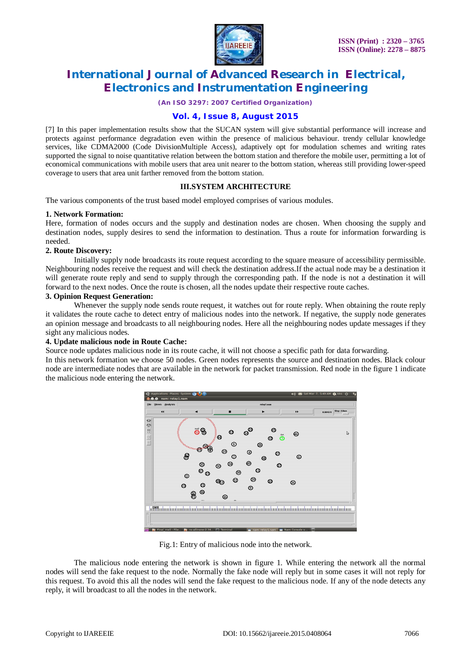

*(An ISO 3297: 2007 Certified Organization)*

## **Vol. 4, Issue 8, August 2015**

[7] In this paper implementation results show that the SUCAN system will give substantial performance will increase and protects against performance degradation even within the presence of malicious behaviour. trendy cellular knowledge services, like CDMA2000 (Code DivisionMultiple Access), adaptively opt for modulation schemes and writing rates supported the signal to noise quantitative relation between the bottom station and therefore the mobile user, permitting a lot of economical communications with mobile users that area unit nearer to the bottom station, whereas still providing lower-speed coverage to users that area unit farther removed from the bottom station.

#### **III.SYSTEM ARCHITECTURE**

The various components of the trust based model employed comprises of various modules.

#### **1. Network Formation:**

Here, formation of nodes occurs and the supply and destination nodes are chosen. When choosing the supply and destination nodes, supply desires to send the information to destination. Thus a route for information forwarding is needed.

#### **2. Route Discovery:**

Initially supply node broadcasts its route request according to the square measure of accessibility permissible. Neighbouring nodes receive the request and will check the destination address.If the actual node may be a destination it will generate route reply and send to supply through the corresponding path. If the node is not a destination it will forward to the next nodes. Once the route is chosen, all the nodes update their respective route caches.

#### **3. Opinion Request Generation:**

Whenever the supply node sends route request, it watches out for route reply. When obtaining the route reply it validates the route cache to detect entry of malicious nodes into the network. If negative, the supply node generates an opinion message and broadcasts to all neighbouring nodes. Here all the neighbouring nodes update messages if they sight any malicious nodes.

#### **4. Update malicious node in Route Cache:**

Source node updates malicious node in its route cache, it will not choose a specific path for data forwarding.

In this network formation we choose 50 nodes. Green nodes represents the source and destination nodes. Black colour node are intermediate nodes that are available in the network for packet transmission. Red node in the figure 1 indicate the malicious node entering the network.



Fig.1: Entry of malicious node into the network.

The malicious node entering the network is shown in figure 1. While entering the network all the normal nodes will send the fake request to the node. Normally the fake node will reply but in some cases it will not reply for this request. To avoid this all the nodes will send the fake request to the malicious node. If any of the node detects any reply, it will broadcast to all the nodes in the network.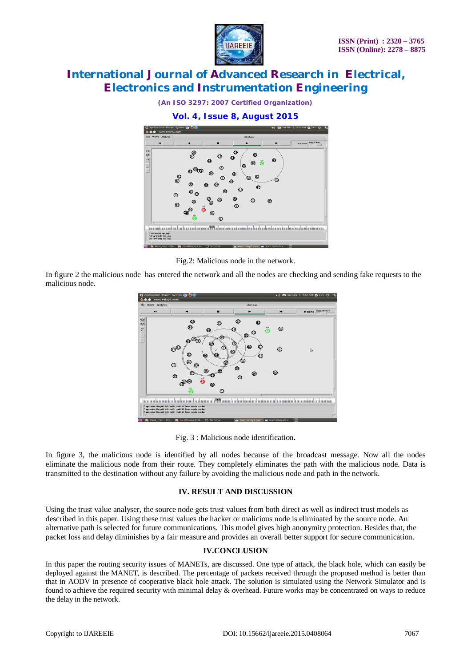

*(An ISO 3297: 2007 Certified Organization)*





Fig.2: Malicious node in the network.

In figure 2 the malicious node has entered the network and all the nodes are checking and sending fake requests to the malicious node.



Fig. 3 : Malicious node identification**.**

In figure 3, the malicious node is identified by all nodes because of the broadcast message. Now all the nodes eliminate the malicious node from their route. They completely eliminates the path with the malicious node. Data is transmitted to the destination without any failure by avoiding the malicious node and path in the network.

### **IV. RESULT AND DISCUSSION**

Using the trust value analyser, the source node gets trust values from both direct as well as indirect trust models as described in this paper. Using these trust values the hacker or malicious node is eliminated by the source node. An alternative path is selected for future communications. This model gives high anonymity protection. Besides that, the packet loss and delay diminishes by a fair measure and provides an overall better support for secure communication.

# **IV.CONCLUSION**

In this paper the routing security issues of MANETs, are discussed. One type of attack, the black hole, which can easily be deployed against the MANET, is described. The percentage of packets received through the proposed method is better than that in AODV in presence of cooperative black hole attack. The solution is simulated using the Network Simulator and is found to achieve the required security with minimal delay & overhead. Future works may be concentrated on ways to reduce the delay in the network.